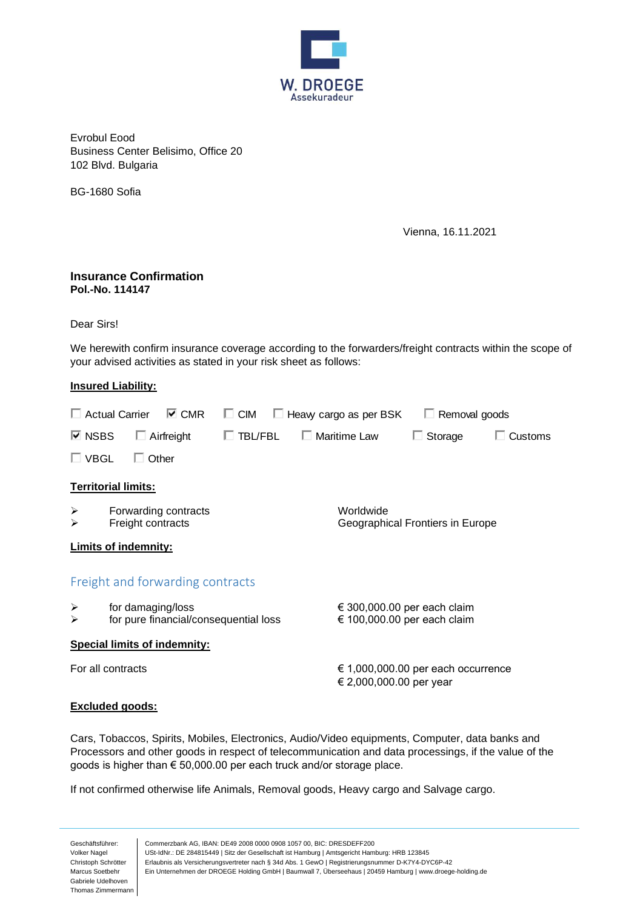

Evrobul Eood Business Center Belisimo, Office 20 102 Blvd. Bulgaria

BG-1680 Sofia

Vienna, 16.11.2021

## **Insurance Confirmation Pol.-No. 114147**

Dear Sirs!

We herewith confirm insurance coverage according to the forwarders/freight contracts within the scope of your advised activities as stated in your risk sheet as follows:

## **Insured Liability:**

| $\triangledown$ CMR<br>$\Box$ Actual Carrier |                                                            |              |                   | $\Box$ CIM<br>Heavy cargo as per BSK |  |                                                               | Removal goods  |         |
|----------------------------------------------|------------------------------------------------------------|--------------|-------------------|--------------------------------------|--|---------------------------------------------------------------|----------------|---------|
| $\boxdot$ NSBS                               |                                                            |              | $\Box$ Airfreight | $\Box$ TBL/FBL                       |  | $\Box$ Maritime Law                                           | $\Box$ Storage | Customs |
| $\square$ VBGL                               |                                                            | $\Box$ Other |                   |                                      |  |                                                               |                |         |
| <b>Territorial limits:</b>                   |                                                            |              |                   |                                      |  |                                                               |                |         |
| ➤<br>➤                                       | Forwarding contracts<br>Freight contracts                  |              |                   |                                      |  | Worldwide<br>Geographical Frontiers in Europe                 |                |         |
| <b>Limits of indemnity:</b>                  |                                                            |              |                   |                                      |  |                                                               |                |         |
| Freight and forwarding contracts             |                                                            |              |                   |                                      |  |                                                               |                |         |
| ➤<br>➤                                       | for damaging/loss<br>for pure financial/consequential loss |              |                   |                                      |  | € 300,000.00 per each claim<br>€ 100,000.00 per each claim    |                |         |
| <b>Special limits of indemnity:</b>          |                                                            |              |                   |                                      |  |                                                               |                |         |
| For all contracts                            |                                                            |              |                   |                                      |  | € 1,000,000.00 per each occurrence<br>€ 2,000,000.00 per year |                |         |

## **Excluded goods:**

Cars, Tobaccos, Spirits, Mobiles, Electronics, Audio/Video equipments, Computer, data banks and Processors and other goods in respect of telecommunication and data processings, if the value of the goods is higher than € 50,000.00 per each truck and/or storage place.

If not confirmed otherwise life Animals, Removal goods, Heavy cargo and Salvage cargo.

Geschäftsführer: Volker Nagel Christoph Schrötter Marcus Soetbehr Gabriele Udelhoven Thomas Zimmermann